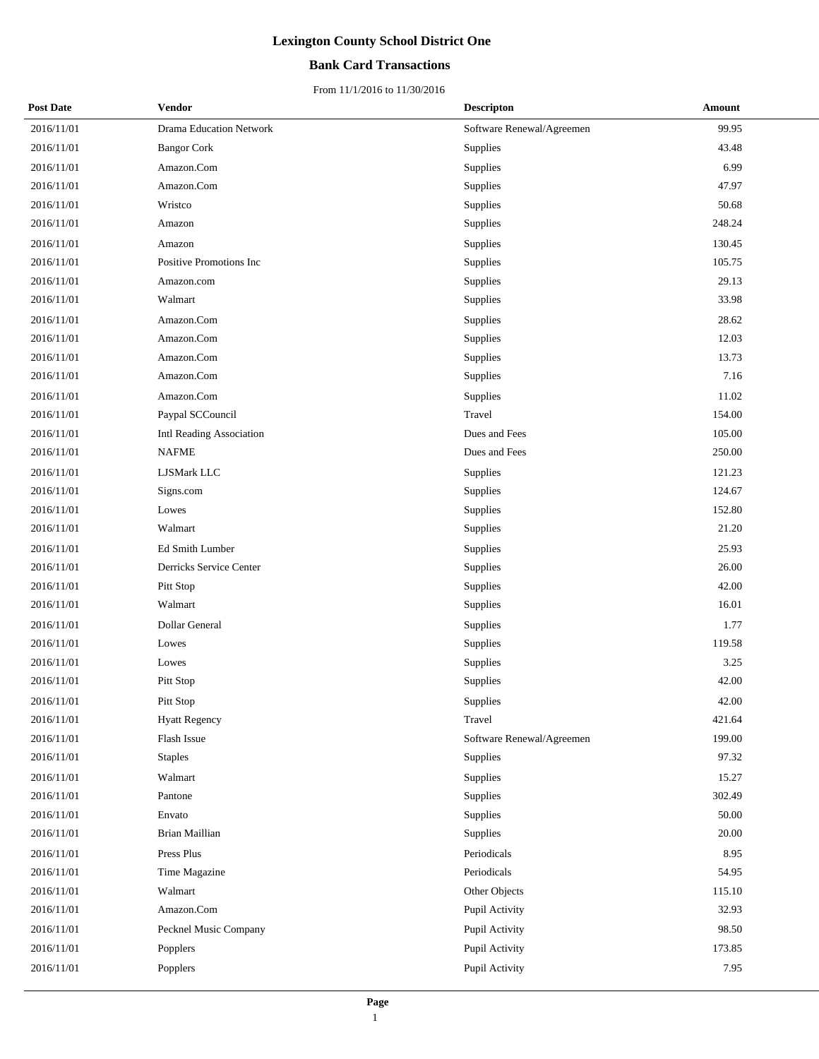### **Bank Card Transactions**

| <b>Post Date</b> | <b>Vendor</b>                  | <b>Descripton</b>         | Amount |
|------------------|--------------------------------|---------------------------|--------|
| 2016/11/01       | <b>Drama Education Network</b> | Software Renewal/Agreemen | 99.95  |
| 2016/11/01       | <b>Bangor Cork</b>             | <b>Supplies</b>           | 43.48  |
| 2016/11/01       | Amazon.Com                     | Supplies                  | 6.99   |
| 2016/11/01       | Amazon.Com                     | Supplies                  | 47.97  |
| 2016/11/01       | Wristco                        | Supplies                  | 50.68  |
| 2016/11/01       | Amazon                         | Supplies                  | 248.24 |
| 2016/11/01       | Amazon                         | Supplies                  | 130.45 |
| 2016/11/01       | Positive Promotions Inc        | Supplies                  | 105.75 |
| 2016/11/01       | Amazon.com                     | Supplies                  | 29.13  |
| 2016/11/01       | Walmart                        | Supplies                  | 33.98  |
| 2016/11/01       | Amazon.Com                     | Supplies                  | 28.62  |
| 2016/11/01       | Amazon.Com                     | Supplies                  | 12.03  |
| 2016/11/01       | Amazon.Com                     | Supplies                  | 13.73  |
| 2016/11/01       | Amazon.Com                     | Supplies                  | 7.16   |
| 2016/11/01       | Amazon.Com                     | Supplies                  | 11.02  |
| 2016/11/01       | Paypal SCCouncil               | Travel                    | 154.00 |
| 2016/11/01       | Intl Reading Association       | Dues and Fees             | 105.00 |
| 2016/11/01       | <b>NAFME</b>                   | Dues and Fees             | 250.00 |
| 2016/11/01       | <b>LJSMark LLC</b>             | <b>Supplies</b>           | 121.23 |
| 2016/11/01       | Signs.com                      | Supplies                  | 124.67 |
| 2016/11/01       | Lowes                          | Supplies                  | 152.80 |
| 2016/11/01       | Walmart                        | Supplies                  | 21.20  |
| 2016/11/01       | Ed Smith Lumber                | Supplies                  | 25.93  |
| 2016/11/01       | Derricks Service Center        | Supplies                  | 26.00  |
| 2016/11/01       | Pitt Stop                      | Supplies                  | 42.00  |
| 2016/11/01       | Walmart                        | Supplies                  | 16.01  |
| 2016/11/01       | Dollar General                 | Supplies                  | 1.77   |
| 2016/11/01       | Lowes                          | Supplies                  | 119.58 |
| 2016/11/01       | Lowes                          | Supplies                  | 3.25   |
| 2016/11/01       | Pitt Stop                      | Supplies                  | 42.00  |
| 2016/11/01       | Pitt Stop                      | Supplies                  | 42.00  |
| 2016/11/01       | <b>Hyatt Regency</b>           | Travel                    | 421.64 |
| 2016/11/01       | Flash Issue                    | Software Renewal/Agreemen | 199.00 |
| 2016/11/01       | <b>Staples</b>                 | Supplies                  | 97.32  |
| 2016/11/01       | Walmart                        | Supplies                  | 15.27  |
| 2016/11/01       | Pantone                        | Supplies                  | 302.49 |
| 2016/11/01       | Envato                         | Supplies                  | 50.00  |
| 2016/11/01       | Brian Maillian                 | Supplies                  | 20.00  |
| 2016/11/01       | Press Plus                     | Periodicals               | 8.95   |
| 2016/11/01       | Time Magazine                  | Periodicals               | 54.95  |
| 2016/11/01       | Walmart                        | Other Objects             | 115.10 |
| 2016/11/01       | Amazon.Com                     | Pupil Activity            | 32.93  |
| 2016/11/01       | Pecknel Music Company          | Pupil Activity            | 98.50  |
| 2016/11/01       | Popplers                       | Pupil Activity            | 173.85 |
| 2016/11/01       | Popplers                       | Pupil Activity            | 7.95   |
|                  |                                |                           |        |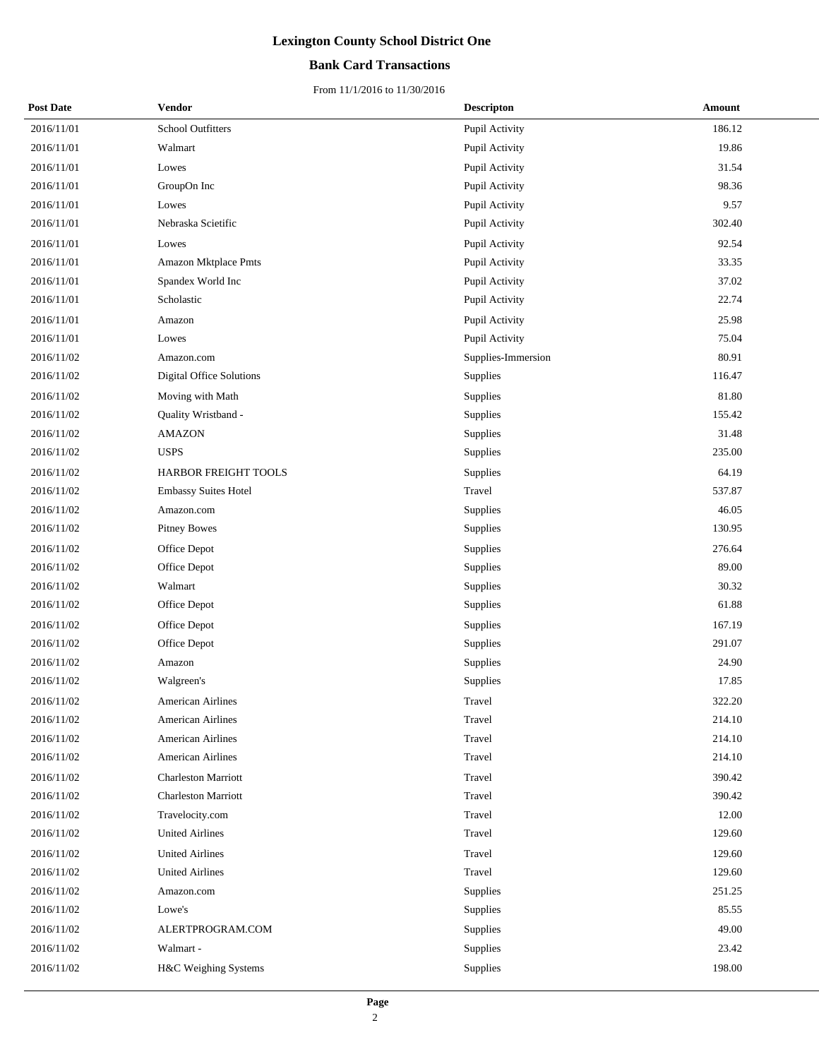### **Bank Card Transactions**

| <b>Post Date</b> | Vendor                      | <b>Descripton</b>  | Amount |
|------------------|-----------------------------|--------------------|--------|
| 2016/11/01       | <b>School Outfitters</b>    | Pupil Activity     | 186.12 |
| 2016/11/01       | Walmart                     | Pupil Activity     | 19.86  |
| 2016/11/01       | Lowes                       | Pupil Activity     | 31.54  |
| 2016/11/01       | GroupOn Inc                 | Pupil Activity     | 98.36  |
| 2016/11/01       | Lowes                       | Pupil Activity     | 9.57   |
| 2016/11/01       | Nebraska Scietific          | Pupil Activity     | 302.40 |
| 2016/11/01       | Lowes                       | Pupil Activity     | 92.54  |
| 2016/11/01       | Amazon Mktplace Pmts        | Pupil Activity     | 33.35  |
| 2016/11/01       | Spandex World Inc           | Pupil Activity     | 37.02  |
| 2016/11/01       | Scholastic                  | Pupil Activity     | 22.74  |
| 2016/11/01       | Amazon                      | Pupil Activity     | 25.98  |
| 2016/11/01       | Lowes                       | Pupil Activity     | 75.04  |
| 2016/11/02       | Amazon.com                  | Supplies-Immersion | 80.91  |
| 2016/11/02       | Digital Office Solutions    | Supplies           | 116.47 |
| 2016/11/02       | Moving with Math            | Supplies           | 81.80  |
| 2016/11/02       | Quality Wristband -         | Supplies           | 155.42 |
| 2016/11/02       | <b>AMAZON</b>               | Supplies           | 31.48  |
| 2016/11/02       | <b>USPS</b>                 | Supplies           | 235.00 |
| 2016/11/02       | HARBOR FREIGHT TOOLS        | Supplies           | 64.19  |
| 2016/11/02       | <b>Embassy Suites Hotel</b> | Travel             | 537.87 |
| 2016/11/02       | Amazon.com                  | Supplies           | 46.05  |
| 2016/11/02       | <b>Pitney Bowes</b>         | Supplies           | 130.95 |
| 2016/11/02       | Office Depot                | Supplies           | 276.64 |
| 2016/11/02       | Office Depot                | Supplies           | 89.00  |
| 2016/11/02       | Walmart                     | Supplies           | 30.32  |
| 2016/11/02       | Office Depot                | Supplies           | 61.88  |
| 2016/11/02       | Office Depot                | Supplies           | 167.19 |
| 2016/11/02       | Office Depot                | Supplies           | 291.07 |
| 2016/11/02       | Amazon                      | Supplies           | 24.90  |
| 2016/11/02       | Walgreen's                  | Supplies           | 17.85  |
| 2016/11/02       | American Airlines           | Travel             | 322.20 |
| 2016/11/02       | <b>American Airlines</b>    | Travel             | 214.10 |
| 2016/11/02       | American Airlines           | Travel             | 214.10 |
| 2016/11/02       | <b>American Airlines</b>    | Travel             | 214.10 |
| 2016/11/02       | <b>Charleston Marriott</b>  | Travel             | 390.42 |
| 2016/11/02       | <b>Charleston Marriott</b>  | Travel             | 390.42 |
| 2016/11/02       | Travelocity.com             | Travel             | 12.00  |
| 2016/11/02       | <b>United Airlines</b>      | Travel             | 129.60 |
| 2016/11/02       | <b>United Airlines</b>      | Travel             | 129.60 |
| 2016/11/02       | <b>United Airlines</b>      | Travel             | 129.60 |
| 2016/11/02       | Amazon.com                  | Supplies           | 251.25 |
| 2016/11/02       | Lowe's                      | Supplies           | 85.55  |
| 2016/11/02       | ALERTPROGRAM.COM            | Supplies           | 49.00  |
| 2016/11/02       | Walmart -                   | Supplies           | 23.42  |
| 2016/11/02       | H&C Weighing Systems        | Supplies           | 198.00 |
|                  |                             |                    |        |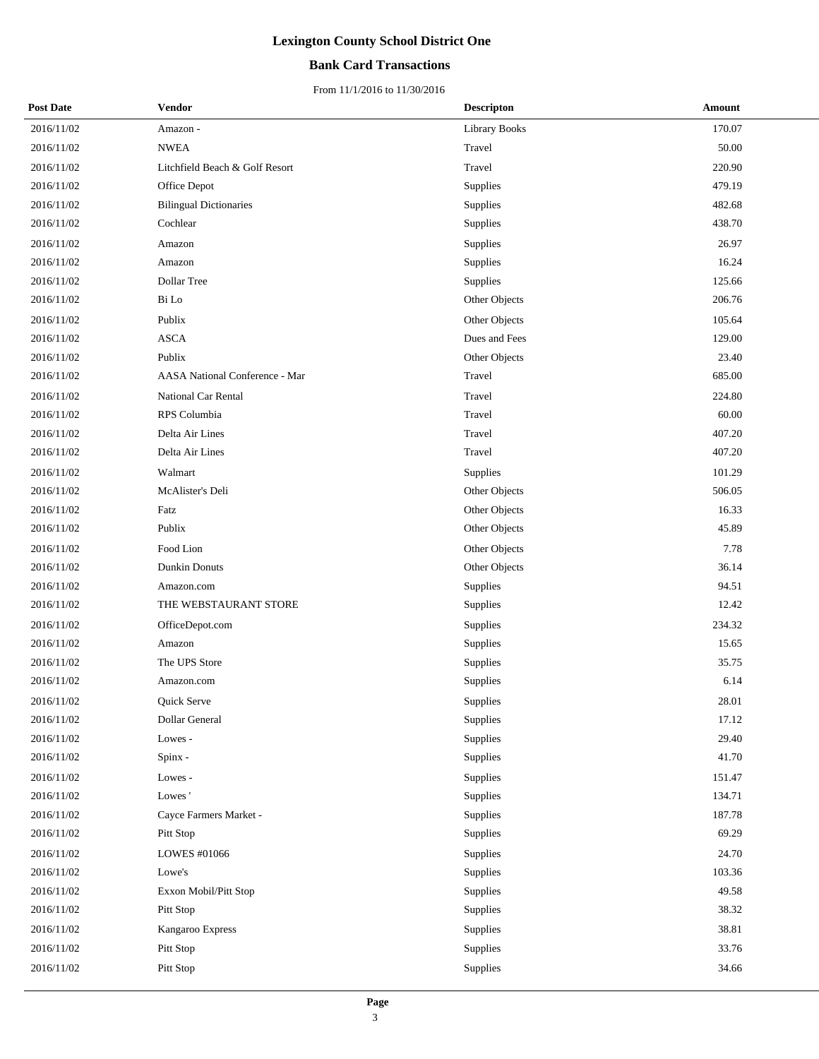### **Bank Card Transactions**

| <b>Post Date</b> | Vendor                                | <b>Descripton</b>    | Amount |
|------------------|---------------------------------------|----------------------|--------|
| 2016/11/02       | Amazon -                              | <b>Library Books</b> | 170.07 |
| 2016/11/02       | <b>NWEA</b>                           | Travel               | 50.00  |
| 2016/11/02       | Litchfield Beach & Golf Resort        | Travel               | 220.90 |
| 2016/11/02       | Office Depot                          | Supplies             | 479.19 |
| 2016/11/02       | <b>Bilingual Dictionaries</b>         | Supplies             | 482.68 |
| 2016/11/02       | Cochlear                              | Supplies             | 438.70 |
| 2016/11/02       | Amazon                                | Supplies             | 26.97  |
| 2016/11/02       | Amazon                                | Supplies             | 16.24  |
| 2016/11/02       | <b>Dollar Tree</b>                    | Supplies             | 125.66 |
| 2016/11/02       | Bi Lo                                 | Other Objects        | 206.76 |
| 2016/11/02       | Publix                                | Other Objects        | 105.64 |
| 2016/11/02       | <b>ASCA</b>                           | Dues and Fees        | 129.00 |
| 2016/11/02       | Publix                                | Other Objects        | 23.40  |
| 2016/11/02       | <b>AASA National Conference - Mar</b> | Travel               | 685.00 |
| 2016/11/02       | National Car Rental                   | Travel               | 224.80 |
| 2016/11/02       | RPS Columbia                          | Travel               | 60.00  |
| 2016/11/02       | Delta Air Lines                       | Travel               | 407.20 |
| 2016/11/02       | Delta Air Lines                       | Travel               | 407.20 |
| 2016/11/02       | Walmart                               | Supplies             | 101.29 |
| 2016/11/02       | McAlister's Deli                      | Other Objects        | 506.05 |
| 2016/11/02       | Fatz                                  | Other Objects        | 16.33  |
| 2016/11/02       | Publix                                | Other Objects        | 45.89  |
| 2016/11/02       | Food Lion                             | Other Objects        | 7.78   |
| 2016/11/02       | Dunkin Donuts                         | Other Objects        | 36.14  |
| 2016/11/02       | Amazon.com                            | Supplies             | 94.51  |
| 2016/11/02       | THE WEBSTAURANT STORE                 | Supplies             | 12.42  |
| 2016/11/02       | OfficeDepot.com                       | Supplies             | 234.32 |
| 2016/11/02       | Amazon                                | Supplies             | 15.65  |
| 2016/11/02       | The UPS Store                         | Supplies             | 35.75  |
| 2016/11/02       | Amazon.com                            | Supplies             | 6.14   |
| 2016/11/02       | <b>Ouick Serve</b>                    | Supplies             | 28.01  |
| 2016/11/02       | Dollar General                        | Supplies             | 17.12  |
| 2016/11/02       | Lowes -                               | Supplies             | 29.40  |
| 2016/11/02       | Spinx -                               | Supplies             | 41.70  |
| 2016/11/02       | Lowes -                               | Supplies             | 151.47 |
| 2016/11/02       | Lowes'                                | Supplies             | 134.71 |
| 2016/11/02       | Cayce Farmers Market -                | Supplies             | 187.78 |
| 2016/11/02       | Pitt Stop                             | Supplies             | 69.29  |
| 2016/11/02       | LOWES #01066                          | Supplies             | 24.70  |
| 2016/11/02       | Lowe's                                | Supplies             | 103.36 |
| 2016/11/02       | Exxon Mobil/Pitt Stop                 | Supplies             | 49.58  |
| 2016/11/02       | Pitt Stop                             | Supplies             | 38.32  |
| 2016/11/02       | Kangaroo Express                      | Supplies             | 38.81  |
| 2016/11/02       | Pitt Stop                             | Supplies             | 33.76  |
| 2016/11/02       | Pitt Stop                             | Supplies             | 34.66  |
|                  |                                       |                      |        |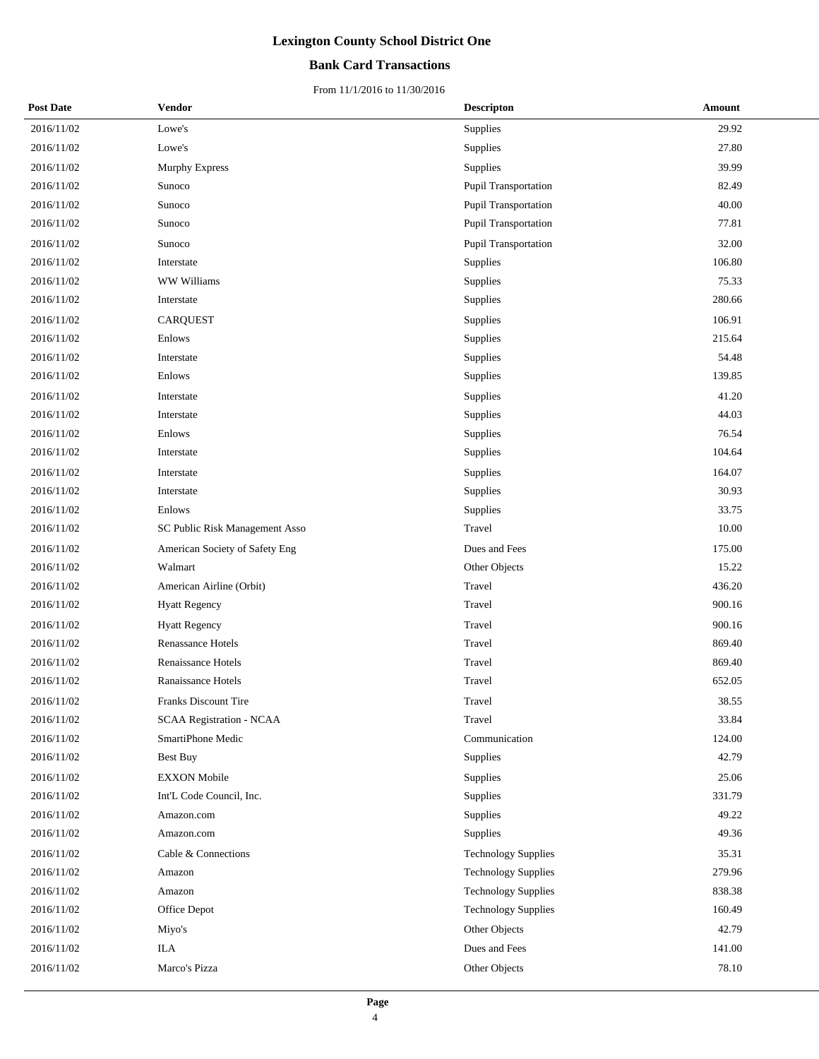### **Bank Card Transactions**

| <b>Post Date</b> | Vendor                          | <b>Descripton</b>          | Amount |
|------------------|---------------------------------|----------------------------|--------|
| 2016/11/02       | Lowe's                          | Supplies                   | 29.92  |
| 2016/11/02       | Lowe's                          | Supplies                   | 27.80  |
| 2016/11/02       | <b>Murphy Express</b>           | Supplies                   | 39.99  |
| 2016/11/02       | Sunoco                          | Pupil Transportation       | 82.49  |
| 2016/11/02       | Sunoco                          | Pupil Transportation       | 40.00  |
| 2016/11/02       | Sunoco                          | Pupil Transportation       | 77.81  |
| 2016/11/02       | Sunoco                          | Pupil Transportation       | 32.00  |
| 2016/11/02       | Interstate                      | Supplies                   | 106.80 |
| 2016/11/02       | WW Williams                     | Supplies                   | 75.33  |
| 2016/11/02       | Interstate                      | Supplies                   | 280.66 |
| 2016/11/02       | <b>CARQUEST</b>                 | Supplies                   | 106.91 |
| 2016/11/02       | Enlows                          | Supplies                   | 215.64 |
| 2016/11/02       | Interstate                      | Supplies                   | 54.48  |
| 2016/11/02       | Enlows                          | Supplies                   | 139.85 |
| 2016/11/02       | Interstate                      | Supplies                   | 41.20  |
| 2016/11/02       | Interstate                      | Supplies                   | 44.03  |
| 2016/11/02       | Enlows                          | Supplies                   | 76.54  |
| 2016/11/02       | Interstate                      | Supplies                   | 104.64 |
| 2016/11/02       | Interstate                      | Supplies                   | 164.07 |
| 2016/11/02       | Interstate                      | Supplies                   | 30.93  |
| 2016/11/02       | Enlows                          | <b>Supplies</b>            | 33.75  |
| 2016/11/02       | SC Public Risk Management Asso  | Travel                     | 10.00  |
| 2016/11/02       | American Society of Safety Eng  | Dues and Fees              | 175.00 |
| 2016/11/02       | Walmart                         | Other Objects              | 15.22  |
| 2016/11/02       | American Airline (Orbit)        | Travel                     | 436.20 |
| 2016/11/02       | <b>Hyatt Regency</b>            | Travel                     | 900.16 |
| 2016/11/02       | <b>Hyatt Regency</b>            | Travel                     | 900.16 |
| 2016/11/02       | <b>Renassance Hotels</b>        | Travel                     | 869.40 |
| 2016/11/02       | Renaissance Hotels              | Travel                     | 869.40 |
| 2016/11/02       | Ranaissance Hotels              | Travel                     | 652.05 |
| 2016/11/02       | <b>Franks Discount Tire</b>     | Travel                     | 38.55  |
| 2016/11/02       | <b>SCAA Registration - NCAA</b> | Travel                     | 33.84  |
| 2016/11/02       | SmartiPhone Medic               | Communication              | 124.00 |
| 2016/11/02       | <b>Best Buy</b>                 | Supplies                   | 42.79  |
| 2016/11/02       | <b>EXXON</b> Mobile             | Supplies                   | 25.06  |
| 2016/11/02       | Int'L Code Council, Inc.        | Supplies                   | 331.79 |
| 2016/11/02       | Amazon.com                      | Supplies                   | 49.22  |
| 2016/11/02       | Amazon.com                      | Supplies                   | 49.36  |
| 2016/11/02       | Cable & Connections             | <b>Technology Supplies</b> | 35.31  |
| 2016/11/02       | Amazon                          | <b>Technology Supplies</b> | 279.96 |
| 2016/11/02       | Amazon                          | <b>Technology Supplies</b> | 838.38 |
| 2016/11/02       | Office Depot                    | <b>Technology Supplies</b> | 160.49 |
| 2016/11/02       | Miyo's                          | Other Objects              | 42.79  |
| 2016/11/02       | <b>ILA</b>                      | Dues and Fees              | 141.00 |
| 2016/11/02       | Marco's Pizza                   | Other Objects              | 78.10  |
|                  |                                 |                            |        |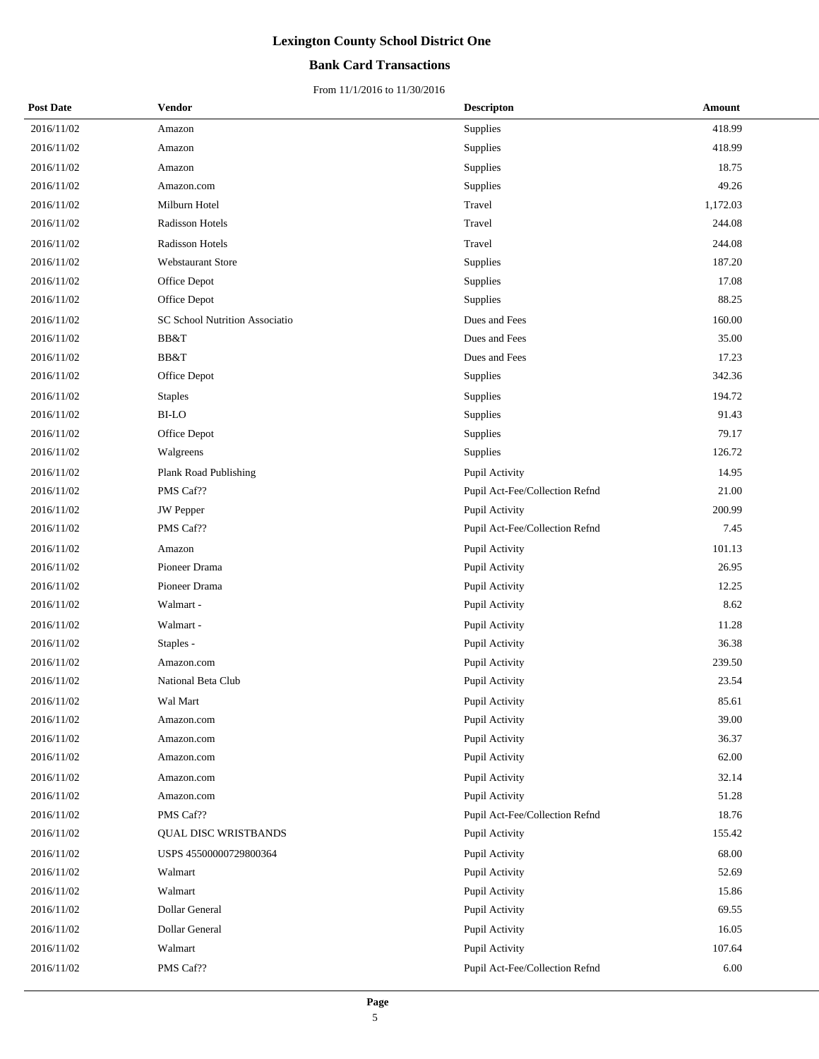### **Bank Card Transactions**

| <b>Post Date</b> | Vendor                                | <b>Descripton</b>              | Amount   |
|------------------|---------------------------------------|--------------------------------|----------|
| 2016/11/02       | Amazon                                | <b>Supplies</b>                | 418.99   |
| 2016/11/02       | Amazon                                | Supplies                       | 418.99   |
| 2016/11/02       | Amazon                                | Supplies                       | 18.75    |
| 2016/11/02       | Amazon.com                            | Supplies                       | 49.26    |
| 2016/11/02       | Milburn Hotel                         | Travel                         | 1,172.03 |
| 2016/11/02       | Radisson Hotels                       | Travel                         | 244.08   |
| 2016/11/02       | Radisson Hotels                       | Travel                         | 244.08   |
| 2016/11/02       | <b>Webstaurant Store</b>              | Supplies                       | 187.20   |
| 2016/11/02       | Office Depot                          | Supplies                       | 17.08    |
| 2016/11/02       | Office Depot                          | Supplies                       | 88.25    |
| 2016/11/02       | <b>SC School Nutrition Associatio</b> | Dues and Fees                  | 160.00   |
| 2016/11/02       | BB&T                                  | Dues and Fees                  | 35.00    |
| 2016/11/02       | BB&T                                  | Dues and Fees                  | 17.23    |
| 2016/11/02       | Office Depot                          | Supplies                       | 342.36   |
| 2016/11/02       | <b>Staples</b>                        | Supplies                       | 194.72   |
| 2016/11/02       | <b>BI-LO</b>                          | Supplies                       | 91.43    |
| 2016/11/02       | Office Depot                          | Supplies                       | 79.17    |
| 2016/11/02       | Walgreens                             | Supplies                       | 126.72   |
| 2016/11/02       | Plank Road Publishing                 | Pupil Activity                 | 14.95    |
| 2016/11/02       | PMS Caf??                             | Pupil Act-Fee/Collection Refnd | 21.00    |
| 2016/11/02       | JW Pepper                             | Pupil Activity                 | 200.99   |
| 2016/11/02       | PMS Caf??                             | Pupil Act-Fee/Collection Refnd | 7.45     |
| 2016/11/02       | Amazon                                | Pupil Activity                 | 101.13   |
| 2016/11/02       | Pioneer Drama                         | Pupil Activity                 | 26.95    |
| 2016/11/02       | Pioneer Drama                         | Pupil Activity                 | 12.25    |
| 2016/11/02       | Walmart -                             | Pupil Activity                 | 8.62     |
| 2016/11/02       | Walmart -                             | Pupil Activity                 | 11.28    |
| 2016/11/02       | Staples -                             | Pupil Activity                 | 36.38    |
| 2016/11/02       | Amazon.com                            | Pupil Activity                 | 239.50   |
| 2016/11/02       | National Beta Club                    | Pupil Activity                 | 23.54    |
| 2016/11/02       | Wal Mart                              | Pupil Activity                 | 85.61    |
| 2016/11/02       | Amazon.com                            | Pupil Activity                 | 39.00    |
| 2016/11/02       | Amazon.com                            | Pupil Activity                 | 36.37    |
| 2016/11/02       | Amazon.com                            | Pupil Activity                 | 62.00    |
| 2016/11/02       | Amazon.com                            | Pupil Activity                 | 32.14    |
| 2016/11/02       | Amazon.com                            | Pupil Activity                 | 51.28    |
| 2016/11/02       | PMS Caf??                             | Pupil Act-Fee/Collection Refnd | 18.76    |
| 2016/11/02       | <b>QUAL DISC WRISTBANDS</b>           | Pupil Activity                 | 155.42   |
| 2016/11/02       | USPS 45500000729800364                | Pupil Activity                 | 68.00    |
| 2016/11/02       | Walmart                               | Pupil Activity                 | 52.69    |
| 2016/11/02       | Walmart                               | Pupil Activity                 | 15.86    |
| 2016/11/02       | Dollar General                        | Pupil Activity                 | 69.55    |
| 2016/11/02       | Dollar General                        | Pupil Activity                 | 16.05    |
| 2016/11/02       | Walmart                               | Pupil Activity                 | 107.64   |
| 2016/11/02       | PMS Caf??                             | Pupil Act-Fee/Collection Refnd | 6.00     |
|                  |                                       |                                |          |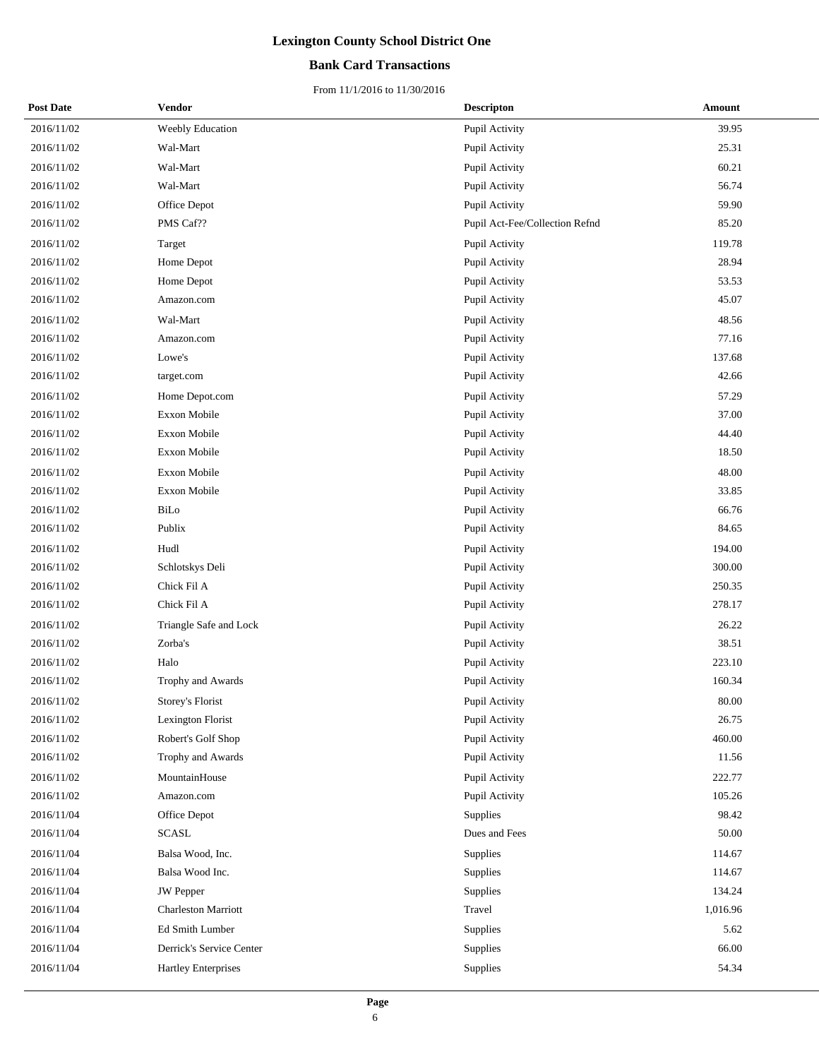### **Bank Card Transactions**

| <b>Post Date</b> | Vendor                     | <b>Descripton</b>              | Amount   |
|------------------|----------------------------|--------------------------------|----------|
| 2016/11/02       | Weebly Education           | Pupil Activity                 | 39.95    |
| 2016/11/02       | Wal-Mart                   | Pupil Activity                 | 25.31    |
| 2016/11/02       | Wal-Mart                   | Pupil Activity                 | 60.21    |
| 2016/11/02       | Wal-Mart                   | Pupil Activity                 | 56.74    |
| 2016/11/02       | Office Depot               | Pupil Activity                 | 59.90    |
| 2016/11/02       | PMS Caf??                  | Pupil Act-Fee/Collection Refnd | 85.20    |
| 2016/11/02       | Target                     | Pupil Activity                 | 119.78   |
| 2016/11/02       | Home Depot                 | Pupil Activity                 | 28.94    |
| 2016/11/02       | Home Depot                 | Pupil Activity                 | 53.53    |
| 2016/11/02       | Amazon.com                 | Pupil Activity                 | 45.07    |
| 2016/11/02       | Wal-Mart                   | Pupil Activity                 | 48.56    |
| 2016/11/02       | Amazon.com                 | Pupil Activity                 | 77.16    |
| 2016/11/02       | Lowe's                     | Pupil Activity                 | 137.68   |
| 2016/11/02       | target.com                 | Pupil Activity                 | 42.66    |
| 2016/11/02       | Home Depot.com             | Pupil Activity                 | 57.29    |
| 2016/11/02       | Exxon Mobile               | Pupil Activity                 | 37.00    |
| 2016/11/02       | Exxon Mobile               | Pupil Activity                 | 44.40    |
| 2016/11/02       | Exxon Mobile               | Pupil Activity                 | 18.50    |
| 2016/11/02       | Exxon Mobile               | Pupil Activity                 | 48.00    |
| 2016/11/02       | Exxon Mobile               | Pupil Activity                 | 33.85    |
| 2016/11/02       | BiLo                       | Pupil Activity                 | 66.76    |
| 2016/11/02       | Publix                     | Pupil Activity                 | 84.65    |
| 2016/11/02       | Hudl                       | Pupil Activity                 | 194.00   |
| 2016/11/02       | Schlotskys Deli            | Pupil Activity                 | 300.00   |
| 2016/11/02       | Chick Fil A                | Pupil Activity                 | 250.35   |
| 2016/11/02       | Chick Fil A                | Pupil Activity                 | 278.17   |
| 2016/11/02       | Triangle Safe and Lock     | Pupil Activity                 | 26.22    |
| 2016/11/02       | Zorba's                    | Pupil Activity                 | 38.51    |
| 2016/11/02       | Halo                       | Pupil Activity                 | 223.10   |
| 2016/11/02       | Trophy and Awards          | Pupil Activity                 | 160.34   |
| 2016/11/02       | Storey's Florist           | Pupil Activity                 | 80.00    |
| 2016/11/02       | Lexington Florist          | Pupil Activity                 | 26.75    |
| 2016/11/02       | Robert's Golf Shop         | Pupil Activity                 | 460.00   |
| 2016/11/02       | Trophy and Awards          | Pupil Activity                 | 11.56    |
| 2016/11/02       | MountainHouse              | Pupil Activity                 | 222.77   |
| 2016/11/02       | Amazon.com                 | Pupil Activity                 | 105.26   |
| 2016/11/04       | Office Depot               | Supplies                       | 98.42    |
| 2016/11/04       | <b>SCASL</b>               | Dues and Fees                  | 50.00    |
| 2016/11/04       | Balsa Wood, Inc.           | Supplies                       | 114.67   |
| 2016/11/04       | Balsa Wood Inc.            | Supplies                       | 114.67   |
| 2016/11/04       | <b>JW</b> Pepper           | Supplies                       | 134.24   |
| 2016/11/04       | <b>Charleston Marriott</b> | Travel                         | 1,016.96 |
| 2016/11/04       | Ed Smith Lumber            | Supplies                       | 5.62     |
| 2016/11/04       | Derrick's Service Center   | Supplies                       | 66.00    |
| 2016/11/04       | <b>Hartley Enterprises</b> | Supplies                       | 54.34    |
|                  |                            |                                |          |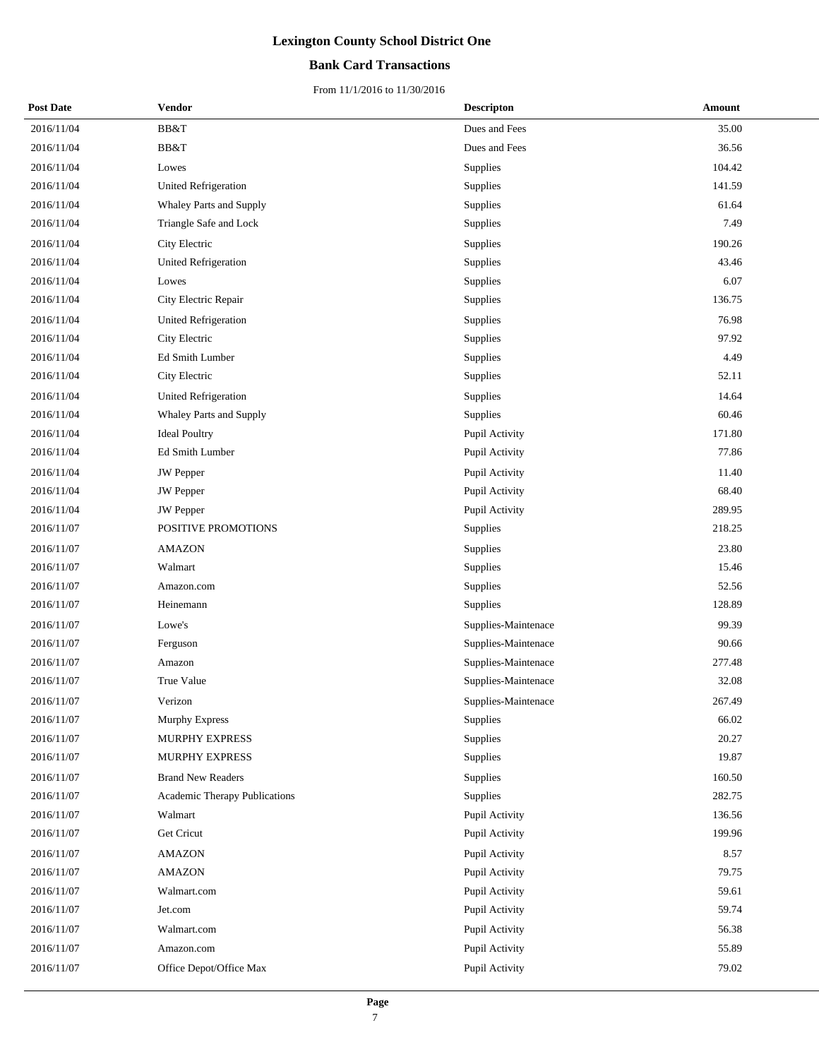### **Bank Card Transactions**

| <b>Post Date</b> | Vendor                        | <b>Descripton</b>   | Amount |
|------------------|-------------------------------|---------------------|--------|
| 2016/11/04       | BB&T                          | Dues and Fees       | 35.00  |
| 2016/11/04       | BB&T                          | Dues and Fees       | 36.56  |
| 2016/11/04       | Lowes                         | Supplies            | 104.42 |
| 2016/11/04       | <b>United Refrigeration</b>   | Supplies            | 141.59 |
| 2016/11/04       | Whaley Parts and Supply       | Supplies            | 61.64  |
| 2016/11/04       | Triangle Safe and Lock        | Supplies            | 7.49   |
| 2016/11/04       | City Electric                 | Supplies            | 190.26 |
| 2016/11/04       | <b>United Refrigeration</b>   | Supplies            | 43.46  |
| 2016/11/04       | Lowes                         | Supplies            | 6.07   |
| 2016/11/04       | City Electric Repair          | Supplies            | 136.75 |
| 2016/11/04       | <b>United Refrigeration</b>   | Supplies            | 76.98  |
| 2016/11/04       | City Electric                 | Supplies            | 97.92  |
| 2016/11/04       | Ed Smith Lumber               | Supplies            | 4.49   |
| 2016/11/04       | City Electric                 | Supplies            | 52.11  |
| 2016/11/04       | <b>United Refrigeration</b>   | Supplies            | 14.64  |
| 2016/11/04       | Whaley Parts and Supply       | Supplies            | 60.46  |
| 2016/11/04       | <b>Ideal Poultry</b>          | Pupil Activity      | 171.80 |
| 2016/11/04       | Ed Smith Lumber               | Pupil Activity      | 77.86  |
| 2016/11/04       | <b>JW</b> Pepper              | Pupil Activity      | 11.40  |
| 2016/11/04       | <b>JW</b> Pepper              | Pupil Activity      | 68.40  |
| 2016/11/04       | JW Pepper                     | Pupil Activity      | 289.95 |
| 2016/11/07       | POSITIVE PROMOTIONS           | Supplies            | 218.25 |
| 2016/11/07       | <b>AMAZON</b>                 | Supplies            | 23.80  |
| 2016/11/07       | Walmart                       | Supplies            | 15.46  |
| 2016/11/07       | Amazon.com                    | Supplies            | 52.56  |
| 2016/11/07       | Heinemann                     | Supplies            | 128.89 |
| 2016/11/07       | Lowe's                        | Supplies-Maintenace | 99.39  |
| 2016/11/07       | Ferguson                      | Supplies-Maintenace | 90.66  |
| 2016/11/07       | Amazon                        | Supplies-Maintenace | 277.48 |
| 2016/11/07       | True Value                    | Supplies-Maintenace | 32.08  |
| 2016/11/07       | Verizon                       | Supplies-Maintenace | 267.49 |
| 2016/11/07       | Murphy Express                | Supplies            | 66.02  |
| 2016/11/07       | MURPHY EXPRESS                | Supplies            | 20.27  |
| 2016/11/07       | MURPHY EXPRESS                | Supplies            | 19.87  |
| 2016/11/07       | <b>Brand New Readers</b>      | Supplies            | 160.50 |
| 2016/11/07       | Academic Therapy Publications | Supplies            | 282.75 |
| 2016/11/07       | Walmart                       | Pupil Activity      | 136.56 |
| 2016/11/07       | Get Cricut                    | Pupil Activity      | 199.96 |
| 2016/11/07       | <b>AMAZON</b>                 | Pupil Activity      | 8.57   |
| 2016/11/07       | <b>AMAZON</b>                 | Pupil Activity      | 79.75  |
| 2016/11/07       | Walmart.com                   | Pupil Activity      | 59.61  |
| 2016/11/07       | Jet.com                       | Pupil Activity      | 59.74  |
| 2016/11/07       | Walmart.com                   | Pupil Activity      | 56.38  |
| 2016/11/07       | Amazon.com                    | Pupil Activity      | 55.89  |
| 2016/11/07       | Office Depot/Office Max       | Pupil Activity      | 79.02  |
|                  |                               |                     |        |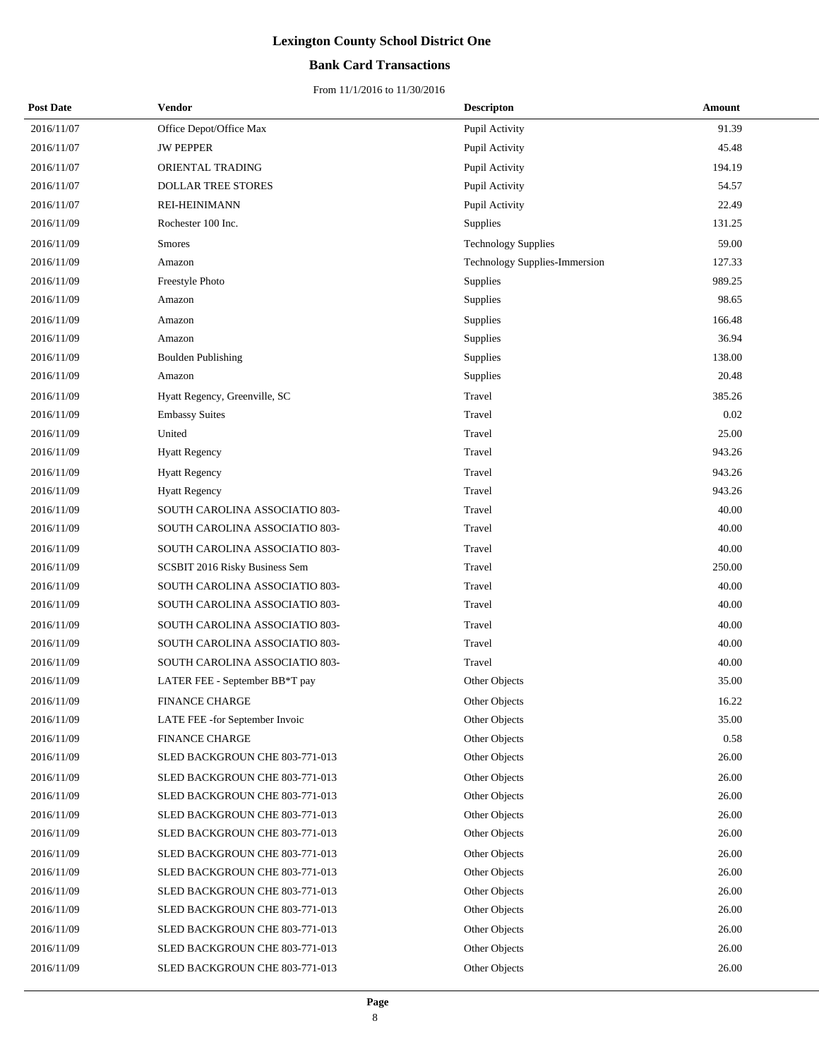### **Bank Card Transactions**

| <b>Post Date</b> | Vendor                         | <b>Descripton</b>                    | Amount |
|------------------|--------------------------------|--------------------------------------|--------|
| 2016/11/07       | Office Depot/Office Max        | Pupil Activity                       | 91.39  |
| 2016/11/07       | <b>JW PEPPER</b>               | Pupil Activity                       | 45.48  |
| 2016/11/07       | ORIENTAL TRADING               | Pupil Activity                       | 194.19 |
| 2016/11/07       | <b>DOLLAR TREE STORES</b>      | Pupil Activity                       | 54.57  |
| 2016/11/07       | REI-HEINIMANN                  | Pupil Activity                       | 22.49  |
| 2016/11/09       | Rochester 100 Inc.             | Supplies                             | 131.25 |
| 2016/11/09       | <b>Smores</b>                  | <b>Technology Supplies</b>           | 59.00  |
| 2016/11/09       | Amazon                         | <b>Technology Supplies-Immersion</b> | 127.33 |
| 2016/11/09       | Freestyle Photo                | Supplies                             | 989.25 |
| 2016/11/09       | Amazon                         | Supplies                             | 98.65  |
| 2016/11/09       | Amazon                         | Supplies                             | 166.48 |
| 2016/11/09       | Amazon                         | Supplies                             | 36.94  |
| 2016/11/09       | <b>Boulden Publishing</b>      | Supplies                             | 138.00 |
| 2016/11/09       | Amazon                         | Supplies                             | 20.48  |
| 2016/11/09       | Hyatt Regency, Greenville, SC  | Travel                               | 385.26 |
| 2016/11/09       | <b>Embassy Suites</b>          | Travel                               | 0.02   |
| 2016/11/09       | United                         | Travel                               | 25.00  |
| 2016/11/09       | <b>Hyatt Regency</b>           | Travel                               | 943.26 |
| 2016/11/09       | <b>Hyatt Regency</b>           | Travel                               | 943.26 |
| 2016/11/09       | <b>Hyatt Regency</b>           | Travel                               | 943.26 |
| 2016/11/09       | SOUTH CAROLINA ASSOCIATIO 803- | Travel                               | 40.00  |
| 2016/11/09       | SOUTH CAROLINA ASSOCIATIO 803- | Travel                               | 40.00  |
| 2016/11/09       | SOUTH CAROLINA ASSOCIATIO 803- | Travel                               | 40.00  |
| 2016/11/09       | SCSBIT 2016 Risky Business Sem | Travel                               | 250.00 |
| 2016/11/09       | SOUTH CAROLINA ASSOCIATIO 803- | Travel                               | 40.00  |
| 2016/11/09       | SOUTH CAROLINA ASSOCIATIO 803- | Travel                               | 40.00  |
| 2016/11/09       | SOUTH CAROLINA ASSOCIATIO 803- | Travel                               | 40.00  |
| 2016/11/09       | SOUTH CAROLINA ASSOCIATIO 803- | Travel                               | 40.00  |
| 2016/11/09       | SOUTH CAROLINA ASSOCIATIO 803- | Travel                               | 40.00  |
| 2016/11/09       | LATER FEE - September BB*T pay | <b>Other Objects</b>                 | 35.00  |
| 2016/11/09       | <b>FINANCE CHARGE</b>          | Other Objects                        | 16.22  |
| 2016/11/09       | LATE FEE -for September Invoic | Other Objects                        | 35.00  |
| 2016/11/09       | <b>FINANCE CHARGE</b>          | Other Objects                        | 0.58   |
| 2016/11/09       | SLED BACKGROUN CHE 803-771-013 | Other Objects                        | 26.00  |
| 2016/11/09       | SLED BACKGROUN CHE 803-771-013 | Other Objects                        | 26.00  |
| 2016/11/09       | SLED BACKGROUN CHE 803-771-013 | Other Objects                        | 26.00  |
| 2016/11/09       | SLED BACKGROUN CHE 803-771-013 | Other Objects                        | 26.00  |
| 2016/11/09       | SLED BACKGROUN CHE 803-771-013 | Other Objects                        | 26.00  |
| 2016/11/09       | SLED BACKGROUN CHE 803-771-013 | Other Objects                        | 26.00  |
| 2016/11/09       | SLED BACKGROUN CHE 803-771-013 | Other Objects                        | 26.00  |
| 2016/11/09       | SLED BACKGROUN CHE 803-771-013 | Other Objects                        | 26.00  |
| 2016/11/09       | SLED BACKGROUN CHE 803-771-013 | Other Objects                        | 26.00  |
| 2016/11/09       | SLED BACKGROUN CHE 803-771-013 | Other Objects                        | 26.00  |
| 2016/11/09       | SLED BACKGROUN CHE 803-771-013 | Other Objects                        | 26.00  |
| 2016/11/09       | SLED BACKGROUN CHE 803-771-013 | Other Objects                        | 26.00  |
|                  |                                |                                      |        |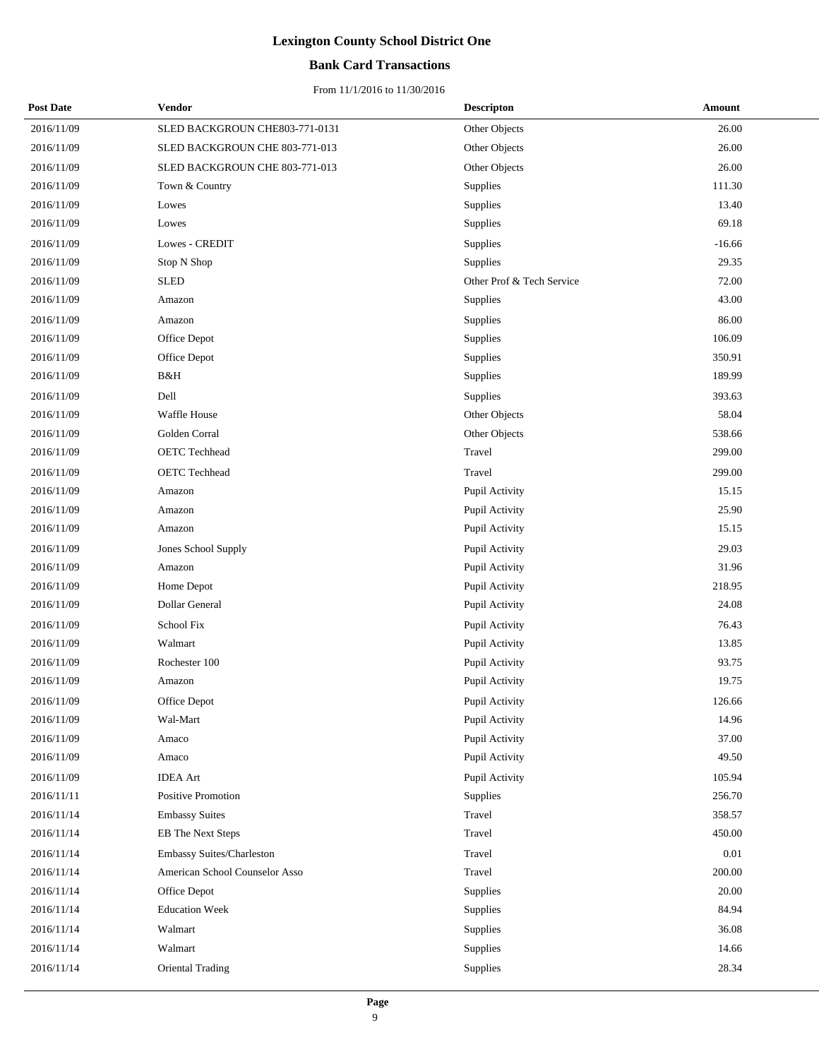### **Bank Card Transactions**

| <b>Post Date</b> | Vendor                         | <b>Descripton</b>         | Amount    |
|------------------|--------------------------------|---------------------------|-----------|
| 2016/11/09       | SLED BACKGROUN CHE803-771-0131 | Other Objects             | 26.00     |
| 2016/11/09       | SLED BACKGROUN CHE 803-771-013 | Other Objects             | 26.00     |
| 2016/11/09       | SLED BACKGROUN CHE 803-771-013 | Other Objects             | 26.00     |
| 2016/11/09       | Town & Country                 | Supplies                  | 111.30    |
| 2016/11/09       | Lowes                          | Supplies                  | 13.40     |
| 2016/11/09       | Lowes                          | Supplies                  | 69.18     |
| 2016/11/09       | Lowes - CREDIT                 | Supplies                  | $-16.66$  |
| 2016/11/09       | Stop N Shop                    | Supplies                  | 29.35     |
| 2016/11/09       | <b>SLED</b>                    | Other Prof & Tech Service | 72.00     |
| 2016/11/09       | Amazon                         | Supplies                  | 43.00     |
| 2016/11/09       | Amazon                         | Supplies                  | 86.00     |
| 2016/11/09       | Office Depot                   | Supplies                  | 106.09    |
| 2016/11/09       | Office Depot                   | Supplies                  | 350.91    |
| 2016/11/09       | B&H                            | Supplies                  | 189.99    |
| 2016/11/09       | Dell                           | Supplies                  | 393.63    |
| 2016/11/09       | Waffle House                   | Other Objects             | 58.04     |
| 2016/11/09       | Golden Corral                  | Other Objects             | 538.66    |
| 2016/11/09       | <b>OETC</b> Techhead           | Travel                    | 299.00    |
| 2016/11/09       | <b>OETC</b> Techhead           | Travel                    | 299.00    |
| 2016/11/09       | Amazon                         | Pupil Activity            | 15.15     |
| 2016/11/09       | Amazon                         | Pupil Activity            | 25.90     |
| 2016/11/09       | Amazon                         | Pupil Activity            | 15.15     |
| 2016/11/09       | Jones School Supply            | Pupil Activity            | 29.03     |
| 2016/11/09       | Amazon                         | Pupil Activity            | 31.96     |
| 2016/11/09       | Home Depot                     | Pupil Activity            | 218.95    |
| 2016/11/09       | Dollar General                 | Pupil Activity            | 24.08     |
| 2016/11/09       | School Fix                     | Pupil Activity            | 76.43     |
| 2016/11/09       | Walmart                        | Pupil Activity            | 13.85     |
| 2016/11/09       | Rochester 100                  | Pupil Activity            | 93.75     |
| 2016/11/09       | Amazon                         | Pupil Activity            | 19.75     |
| 2016/11/09       | Office Depot                   | Pupil Activity            | 126.66    |
| 2016/11/09       | Wal-Mart                       | Pupil Activity            | 14.96     |
| 2016/11/09       | Amaco                          | Pupil Activity            | 37.00     |
| 2016/11/09       | Amaco                          | Pupil Activity            | 49.50     |
| 2016/11/09       | <b>IDEA</b> Art                | Pupil Activity            | 105.94    |
| 2016/11/11       | Positive Promotion             | Supplies                  | 256.70    |
| 2016/11/14       | <b>Embassy Suites</b>          | Travel                    | 358.57    |
| 2016/11/14       | <b>EB</b> The Next Steps       | Travel                    | 450.00    |
| 2016/11/14       | Embassy Suites/Charleston      | Travel                    | 0.01      |
| 2016/11/14       | American School Counselor Asso | Travel                    | 200.00    |
| 2016/11/14       | Office Depot                   | <b>Supplies</b>           | $20.00\,$ |
| 2016/11/14       | <b>Education Week</b>          | Supplies                  | 84.94     |
| 2016/11/14       | Walmart                        | Supplies                  | 36.08     |
| 2016/11/14       | Walmart                        | Supplies                  | 14.66     |
| 2016/11/14       | Oriental Trading               | Supplies                  | 28.34     |
|                  |                                |                           |           |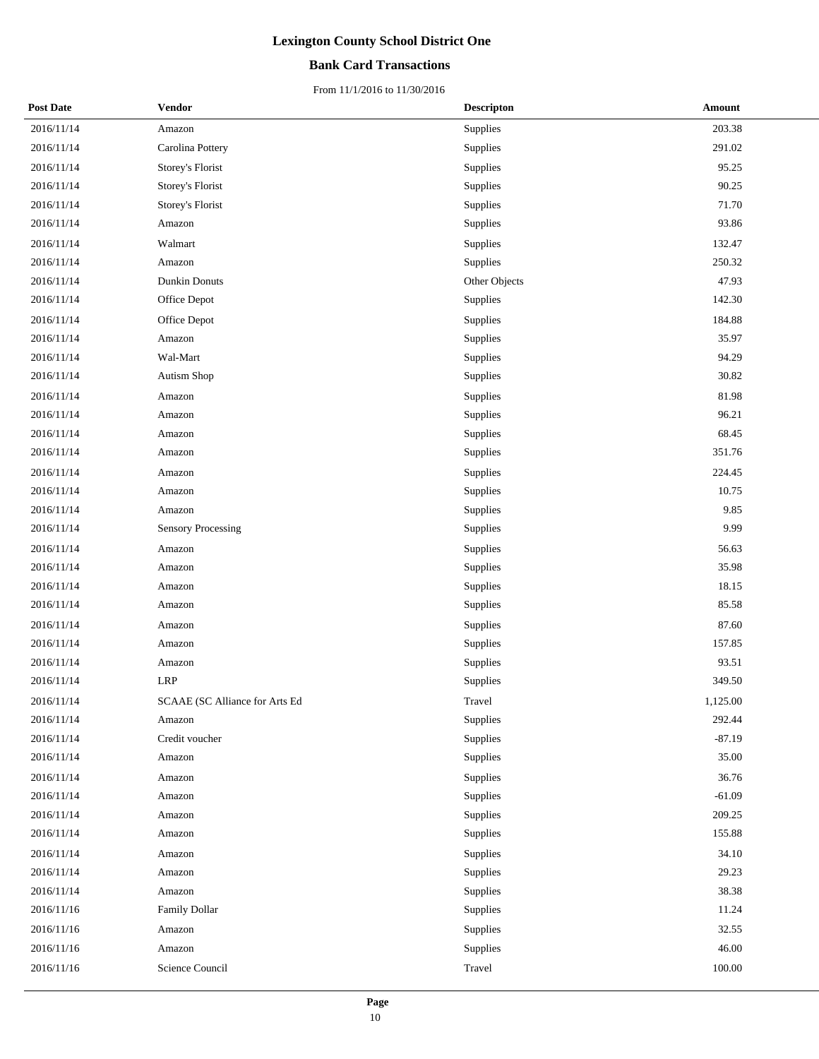### **Bank Card Transactions**

| <b>Post Date</b> | Vendor                         | <b>Descripton</b> | <b>Amount</b> |
|------------------|--------------------------------|-------------------|---------------|
| 2016/11/14       | Amazon                         | Supplies          | 203.38        |
| 2016/11/14       | Carolina Pottery               | Supplies          | 291.02        |
| 2016/11/14       | Storey's Florist               | Supplies          | 95.25         |
| 2016/11/14       | Storey's Florist               | Supplies          | 90.25         |
| 2016/11/14       | Storey's Florist               | Supplies          | 71.70         |
| 2016/11/14       | Amazon                         | Supplies          | 93.86         |
| 2016/11/14       | Walmart                        | Supplies          | 132.47        |
| 2016/11/14       | Amazon                         | Supplies          | 250.32        |
| 2016/11/14       | Dunkin Donuts                  | Other Objects     | 47.93         |
| 2016/11/14       | Office Depot                   | Supplies          | 142.30        |
| 2016/11/14       | Office Depot                   | Supplies          | 184.88        |
| 2016/11/14       | Amazon                         | Supplies          | 35.97         |
| 2016/11/14       | Wal-Mart                       | Supplies          | 94.29         |
| 2016/11/14       | <b>Autism Shop</b>             | Supplies          | 30.82         |
| 2016/11/14       | Amazon                         | Supplies          | 81.98         |
| 2016/11/14       | Amazon                         | Supplies          | 96.21         |
| 2016/11/14       | Amazon                         | Supplies          | 68.45         |
| 2016/11/14       | Amazon                         | Supplies          | 351.76        |
| 2016/11/14       | Amazon                         | Supplies          | 224.45        |
| 2016/11/14       | Amazon                         | Supplies          | 10.75         |
| 2016/11/14       | Amazon                         | Supplies          | 9.85          |
| 2016/11/14       | Sensory Processing             | Supplies          | 9.99          |
| 2016/11/14       | Amazon                         | Supplies          | 56.63         |
| 2016/11/14       | Amazon                         | Supplies          | 35.98         |
| 2016/11/14       | Amazon                         | Supplies          | 18.15         |
| 2016/11/14       | Amazon                         | Supplies          | 85.58         |
| 2016/11/14       | Amazon                         | Supplies          | 87.60         |
| 2016/11/14       | Amazon                         | Supplies          | 157.85        |
| 2016/11/14       | Amazon                         | Supplies          | 93.51         |
| 2016/11/14       | <b>LRP</b>                     | Supplies          | 349.50        |
| 2016/11/14       | SCAAE (SC Alliance for Arts Ed | Travel            | 1.125.00      |
| 2016/11/14       | Amazon                         | Supplies          | 292.44        |
| 2016/11/14       | Credit voucher                 | Supplies          | $-87.19$      |
| 2016/11/14       | Amazon                         | Supplies          | 35.00         |
| 2016/11/14       | Amazon                         | Supplies          | 36.76         |
| 2016/11/14       | Amazon                         | Supplies          | $-61.09$      |
| 2016/11/14       | Amazon                         | Supplies          | 209.25        |
| 2016/11/14       | Amazon                         | Supplies          | 155.88        |
| 2016/11/14       | Amazon                         | Supplies          | 34.10         |
| 2016/11/14       | Amazon                         | Supplies          | 29.23         |
| 2016/11/14       | Amazon                         | Supplies          | 38.38         |
| 2016/11/16       | Family Dollar                  | Supplies          | 11.24         |
| 2016/11/16       | Amazon                         | Supplies          | 32.55         |
| 2016/11/16       | Amazon                         | Supplies          | 46.00         |
| 2016/11/16       | Science Council                | Travel            | $100.00\,$    |
|                  |                                |                   |               |